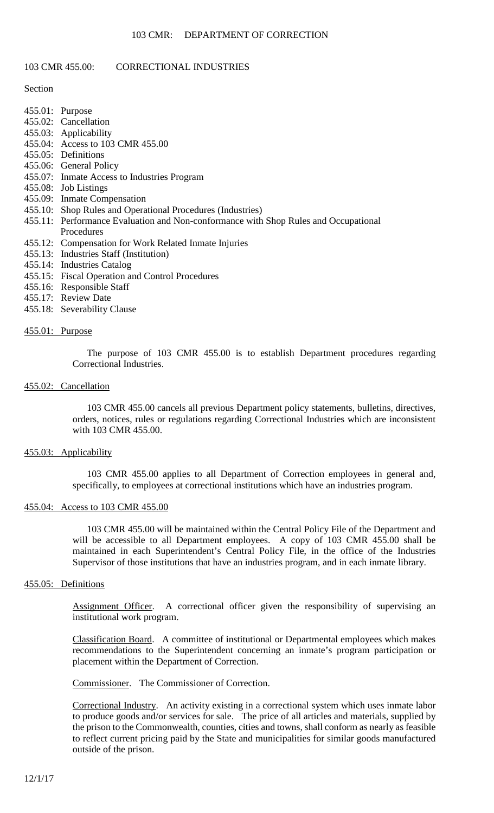#### 103 CMR: DEPARTMENT OF CORRECTION

#### 103 CMR 455.00: CORRECTIONAL INDUSTRIES

### **Section**

- 455.01: Purpose 455.02: Cancellation 455.03: Applicability 455.04: Access to 103 CMR 455.00 455.05: Definitions 455.06: General Policy 455.07: Inmate Access to Industries Program 455.08: Job Listings 455.09: Inmate Compensation 455.10: Shop Rules and Operational Procedures (Industries) 455.11: Performance Evaluation and Non-conformance with Shop Rules and Occupational **Procedures**
- 455.12: Compensation for Work Related Inmate Injuries
- 455.13: Industries Staff (Institution)
- 455.14: Industries Catalog
- 455.15: Fiscal Operation and Control Procedures
- 455.16: Responsible Staff
- 455.17: Review Date
- 455.18: Severability Clause

## 455.01: Purpose

The purpose of 103 CMR 455.00 is to establish Department procedures regarding Correctional Industries.

## 455.02: Cancellation

103 CMR 455.00 cancels all previous Department policy statements, bulletins, directives, orders, notices, rules or regulations regarding Correctional Industries which are inconsistent with 103 CMR 455.00.

## 455.03: Applicability

103 CMR 455.00 applies to all Department of Correction employees in general and, specifically, to employees at correctional institutions which have an industries program.

#### 455.04: Access to 103 CMR 455.00

103 CMR 455.00 will be maintained within the Central Policy File of the Department and will be accessible to all Department employees. A copy of 103 CMR 455.00 shall be maintained in each Superintendent's Central Policy File, in the office of the Industries Supervisor of those institutions that have an industries program, and in each inmate library.

## 455.05: Definitions

Assignment Officer. A correctional officer given the responsibility of supervising an institutional work program.

Classification Board. A committee of institutional or Departmental employees which makes recommendations to the Superintendent concerning an inmate's program participation or placement within the Department of Correction.

Commissioner. The Commissioner of Correction.

Correctional Industry. An activity existing in a correctional system which uses inmate labor to produce goods and/or services for sale. The price of all articles and materials, supplied by the prison to the Commonwealth, counties, cities and towns, shall conform as nearly as feasible to reflect current pricing paid by the State and municipalities for similar goods manufactured outside of the prison.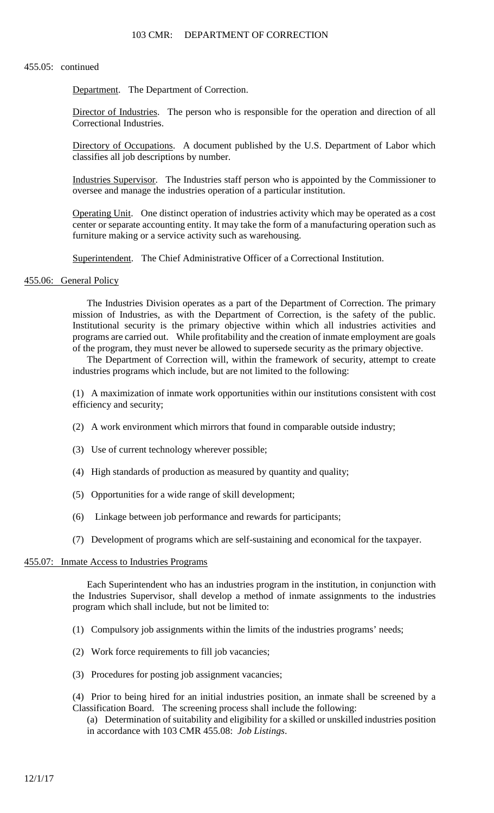#### 455.05: continued

Department. The Department of Correction.

Director of Industries. The person who is responsible for the operation and direction of all Correctional Industries.

Directory of Occupations. A document published by the U.S. Department of Labor which classifies all job descriptions by number.

Industries Supervisor. The Industries staff person who is appointed by the Commissioner to oversee and manage the industries operation of a particular institution.

Operating Unit. One distinct operation of industries activity which may be operated as a cost center or separate accounting entity. It may take the form of a manufacturing operation such as furniture making or a service activity such as warehousing.

Superintendent. The Chief Administrative Officer of a Correctional Institution.

## 455.06: General Policy

The Industries Division operates as a part of the Department of Correction. The primary mission of Industries, as with the Department of Correction, is the safety of the public. Institutional security is the primary objective within which all industries activities and programs are carried out. While profitability and the creation of inmate employment are goals of the program, they must never be allowed to supersede security as the primary objective.

The Department of Correction will, within the framework of security, attempt to create industries programs which include, but are not limited to the following:

(1) A maximization of inmate work opportunities within our institutions consistent with cost efficiency and security;

- (2) A work environment which mirrors that found in comparable outside industry;
- (3) Use of current technology wherever possible;
- (4) High standards of production as measured by quantity and quality;
- (5) Opportunities for a wide range of skill development;
- (6) Linkage between job performance and rewards for participants;
- (7) Development of programs which are self-sustaining and economical for the taxpayer.

## 455.07: Inmate Access to Industries Programs

Each Superintendent who has an industries program in the institution, in conjunction with the Industries Supervisor, shall develop a method of inmate assignments to the industries program which shall include, but not be limited to:

- (1) Compulsory job assignments within the limits of the industries programs' needs;
- (2) Work force requirements to fill job vacancies;
- (3) Procedures for posting job assignment vacancies;
- (4) Prior to being hired for an initial industries position, an inmate shall be screened by a Classification Board. The screening process shall include the following:
	- (a) Determination of suitability and eligibility for a skilled or unskilled industries position in accordance with 103 CMR 455.08: *Job Listings*.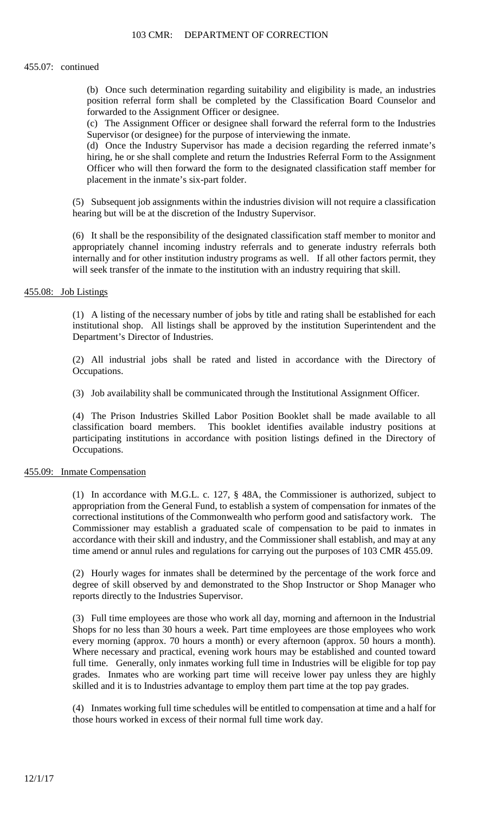#### 455.07: continued

(b) Once such determination regarding suitability and eligibility is made, an industries position referral form shall be completed by the Classification Board Counselor and forwarded to the Assignment Officer or designee.

(c) The Assignment Officer or designee shall forward the referral form to the Industries Supervisor (or designee) for the purpose of interviewing the inmate.

(d) Once the Industry Supervisor has made a decision regarding the referred inmate's hiring, he or she shall complete and return the Industries Referral Form to the Assignment Officer who will then forward the form to the designated classification staff member for placement in the inmate's six-part folder.

(5) Subsequent job assignments within the industries division will not require a classification hearing but will be at the discretion of the Industry Supervisor.

(6) It shall be the responsibility of the designated classification staff member to monitor and appropriately channel incoming industry referrals and to generate industry referrals both internally and for other institution industry programs as well. If all other factors permit, they will seek transfer of the inmate to the institution with an industry requiring that skill.

### 455.08: Job Listings

(1) A listing of the necessary number of jobs by title and rating shall be established for each institutional shop. All listings shall be approved by the institution Superintendent and the Department's Director of Industries.

(2) All industrial jobs shall be rated and listed in accordance with the Directory of Occupations.

(3) Job availability shall be communicated through the Institutional Assignment Officer.

(4) The Prison Industries Skilled Labor Position Booklet shall be made available to all classification board members. This booklet identifies available industry positions at participating institutions in accordance with position listings defined in the Directory of Occupations.

## 455.09: Inmate Compensation

(1) In accordance with M.G.L. c. 127, § 48A, the Commissioner is authorized, subject to appropriation from the General Fund, to establish a system of compensation for inmates of the correctional institutions of the Commonwealth who perform good and satisfactory work. The Commissioner may establish a graduated scale of compensation to be paid to inmates in accordance with their skill and industry, and the Commissioner shall establish, and may at any time amend or annul rules and regulations for carrying out the purposes of 103 CMR 455.09.

(2) Hourly wages for inmates shall be determined by the percentage of the work force and degree of skill observed by and demonstrated to the Shop Instructor or Shop Manager who reports directly to the Industries Supervisor.

(3) Full time employees are those who work all day, morning and afternoon in the Industrial Shops for no less than 30 hours a week. Part time employees are those employees who work every morning (approx. 70 hours a month) or every afternoon (approx. 50 hours a month). Where necessary and practical, evening work hours may be established and counted toward full time. Generally, only inmates working full time in Industries will be eligible for top pay grades. Inmates who are working part time will receive lower pay unless they are highly skilled and it is to Industries advantage to employ them part time at the top pay grades.

(4) Inmates working full time schedules will be entitled to compensation at time and a half for those hours worked in excess of their normal full time work day.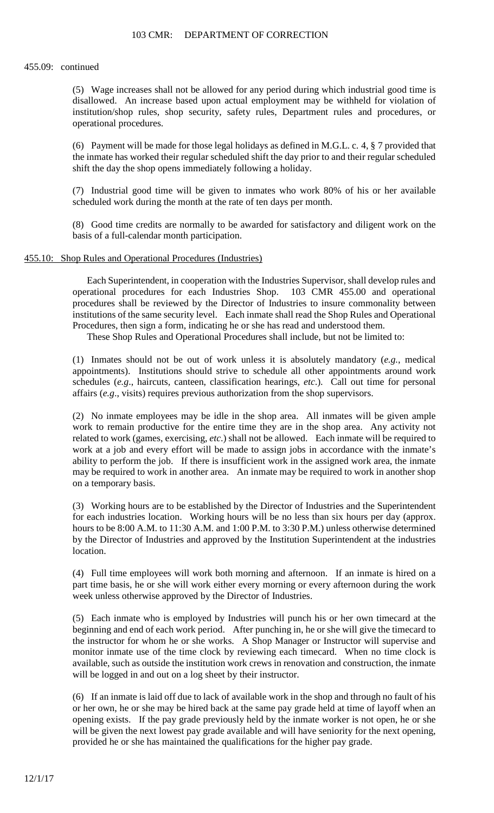#### 455.09: continued

(5) Wage increases shall not be allowed for any period during which industrial good time is disallowed. An increase based upon actual employment may be withheld for violation of institution/shop rules, shop security, safety rules, Department rules and procedures, or operational procedures.

(6) Payment will be made for those legal holidays as defined in M.G.L. c. 4, § 7 provided that the inmate has worked their regular scheduled shift the day prior to and their regular scheduled shift the day the shop opens immediately following a holiday.

(7) Industrial good time will be given to inmates who work 80% of his or her available scheduled work during the month at the rate of ten days per month.

(8) Good time credits are normally to be awarded for satisfactory and diligent work on the basis of a full-calendar month participation.

#### 455.10: Shop Rules and Operational Procedures (Industries)

Each Superintendent, in cooperation with the Industries Supervisor, shall develop rules and operational procedures for each Industries Shop. 103 CMR 455.00 and operational procedures shall be reviewed by the Director of Industries to insure commonality between institutions of the same security level. Each inmate shall read the Shop Rules and Operational Procedures, then sign a form, indicating he or she has read and understood them.

These Shop Rules and Operational Procedures shall include, but not be limited to:

(1) Inmates should not be out of work unless it is absolutely mandatory (*e.g.*, medical appointments). Institutions should strive to schedule all other appointments around work schedules (*e.g*., haircuts, canteen, classification hearings, *etc*.). Call out time for personal affairs (*e.g*., visits) requires previous authorization from the shop supervisors.

(2) No inmate employees may be idle in the shop area. All inmates will be given ample work to remain productive for the entire time they are in the shop area. Any activity not related to work (games, exercising, *etc*.) shall not be allowed. Each inmate will be required to work at a job and every effort will be made to assign jobs in accordance with the inmate's ability to perform the job. If there is insufficient work in the assigned work area, the inmate may be required to work in another area. An inmate may be required to work in another shop on a temporary basis.

(3) Working hours are to be established by the Director of Industries and the Superintendent for each industries location. Working hours will be no less than six hours per day (approx. hours to be 8:00 A.M. to 11:30 A.M. and 1:00 P.M. to 3:30 P.M.) unless otherwise determined by the Director of Industries and approved by the Institution Superintendent at the industries location.

(4) Full time employees will work both morning and afternoon. If an inmate is hired on a part time basis, he or she will work either every morning or every afternoon during the work week unless otherwise approved by the Director of Industries.

(5) Each inmate who is employed by Industries will punch his or her own timecard at the beginning and end of each work period. After punching in, he or she will give the timecard to the instructor for whom he or she works. A Shop Manager or Instructor will supervise and monitor inmate use of the time clock by reviewing each timecard. When no time clock is available, such as outside the institution work crews in renovation and construction, the inmate will be logged in and out on a log sheet by their instructor.

(6) If an inmate is laid off due to lack of available work in the shop and through no fault of his or her own, he or she may be hired back at the same pay grade held at time of layoff when an opening exists. If the pay grade previously held by the inmate worker is not open, he or she will be given the next lowest pay grade available and will have seniority for the next opening, provided he or she has maintained the qualifications for the higher pay grade.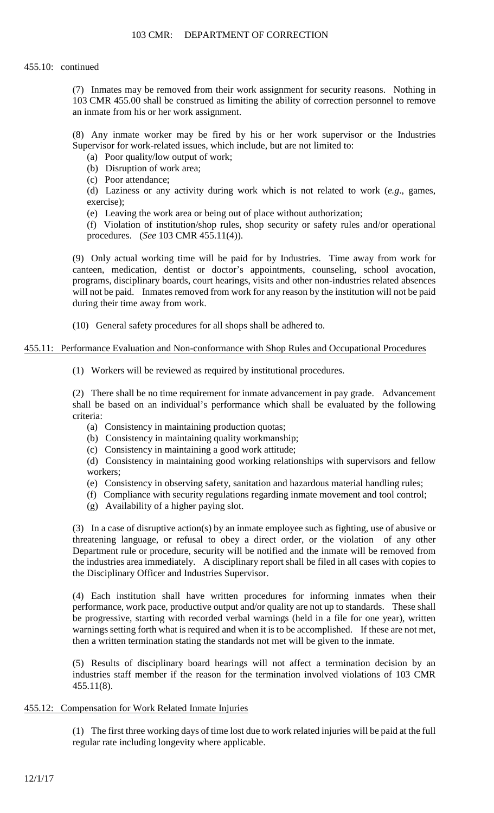## 455.10: continued

(7) Inmates may be removed from their work assignment for security reasons. Nothing in 103 CMR 455.00 shall be construed as limiting the ability of correction personnel to remove an inmate from his or her work assignment.

(8) Any inmate worker may be fired by his or her work supervisor or the Industries Supervisor for work-related issues, which include, but are not limited to:

(a) Poor quality/low output of work;

(b) Disruption of work area;

(c) Poor attendance;

(d) Laziness or any activity during work which is not related to work (*e.g*., games, exercise);

(e) Leaving the work area or being out of place without authorization;

(f) Violation of institution/shop rules, shop security or safety rules and/or operational procedures. (*See* 103 CMR 455.11(4)).

(9) Only actual working time will be paid for by Industries. Time away from work for canteen, medication, dentist or doctor's appointments, counseling, school avocation, programs, disciplinary boards, court hearings, visits and other non-industries related absences will not be paid. Inmates removed from work for any reason by the institution will not be paid during their time away from work.

(10) General safety procedures for all shops shall be adhered to.

# 455.11: Performance Evaluation and Non-conformance with Shop Rules and Occupational Procedures

(1) Workers will be reviewed as required by institutional procedures.

(2) There shall be no time requirement for inmate advancement in pay grade. Advancement shall be based on an individual's performance which shall be evaluated by the following criteria:

(a) Consistency in maintaining production quotas;

- (b) Consistency in maintaining quality workmanship;
- (c) Consistency in maintaining a good work attitude;

(d) Consistency in maintaining good working relationships with supervisors and fellow workers;

- (e) Consistency in observing safety, sanitation and hazardous material handling rules;
- (f) Compliance with security regulations regarding inmate movement and tool control;
- (g) Availability of a higher paying slot.

(3) In a case of disruptive action(s) by an inmate employee such as fighting, use of abusive or threatening language, or refusal to obey a direct order, or the violation of any other Department rule or procedure, security will be notified and the inmate will be removed from the industries area immediately. A disciplinary report shall be filed in all cases with copies to the Disciplinary Officer and Industries Supervisor.

(4) Each institution shall have written procedures for informing inmates when their performance, work pace, productive output and/or quality are not up to standards. These shall be progressive, starting with recorded verbal warnings (held in a file for one year), written warnings setting forth what is required and when it is to be accomplished. If these are not met, then a written termination stating the standards not met will be given to the inmate.

(5) Results of disciplinary board hearings will not affect a termination decision by an industries staff member if the reason for the termination involved violations of 103 CMR 455.11(8).

# 455.12: Compensation for Work Related Inmate Injuries

(1) The first three working days of time lost due to work related injuries will be paid at the full regular rate including longevity where applicable.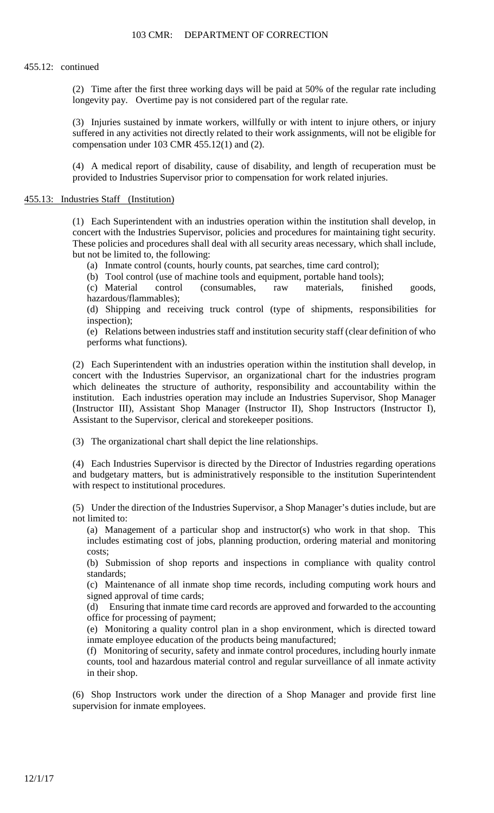#### 455.12: continued

(2) Time after the first three working days will be paid at 50% of the regular rate including longevity pay. Overtime pay is not considered part of the regular rate.

(3) Injuries sustained by inmate workers, willfully or with intent to injure others, or injury suffered in any activities not directly related to their work assignments, will not be eligible for compensation under 103 CMR 455.12(1) and (2).

(4) A medical report of disability, cause of disability, and length of recuperation must be provided to Industries Supervisor prior to compensation for work related injuries.

#### 455.13: Industries Staff (Institution)

(1) Each Superintendent with an industries operation within the institution shall develop, in concert with the Industries Supervisor, policies and procedures for maintaining tight security. These policies and procedures shall deal with all security areas necessary, which shall include, but not be limited to, the following:

(a) Inmate control (counts, hourly counts, pat searches, time card control);

(b) Tool control (use of machine tools and equipment, portable hand tools);

(c) Material control (consumables, raw materials, finished goods, hazardous/flammables);

(d) Shipping and receiving truck control (type of shipments, responsibilities for inspection);

(e) Relations between industries staff and institution security staff (clear definition of who performs what functions).

(2) Each Superintendent with an industries operation within the institution shall develop, in concert with the Industries Supervisor, an organizational chart for the industries program which delineates the structure of authority, responsibility and accountability within the institution. Each industries operation may include an Industries Supervisor, Shop Manager (Instructor III), Assistant Shop Manager (Instructor II), Shop Instructors (Instructor I), Assistant to the Supervisor, clerical and storekeeper positions.

(3) The organizational chart shall depict the line relationships.

(4) Each Industries Supervisor is directed by the Director of Industries regarding operations and budgetary matters, but is administratively responsible to the institution Superintendent with respect to institutional procedures.

(5) Under the direction of the Industries Supervisor, a Shop Manager's duties include, but are not limited to:

(a) Management of a particular shop and instructor(s) who work in that shop. This includes estimating cost of jobs, planning production, ordering material and monitoring costs;

(b) Submission of shop reports and inspections in compliance with quality control standards;

(c) Maintenance of all inmate shop time records, including computing work hours and signed approval of time cards;

(d) Ensuring that inmate time card records are approved and forwarded to the accounting office for processing of payment;

(e) Monitoring a quality control plan in a shop environment, which is directed toward inmate employee education of the products being manufactured;

(f) Monitoring of security, safety and inmate control procedures, including hourly inmate counts, tool and hazardous material control and regular surveillance of all inmate activity in their shop.

(6) Shop Instructors work under the direction of a Shop Manager and provide first line supervision for inmate employees.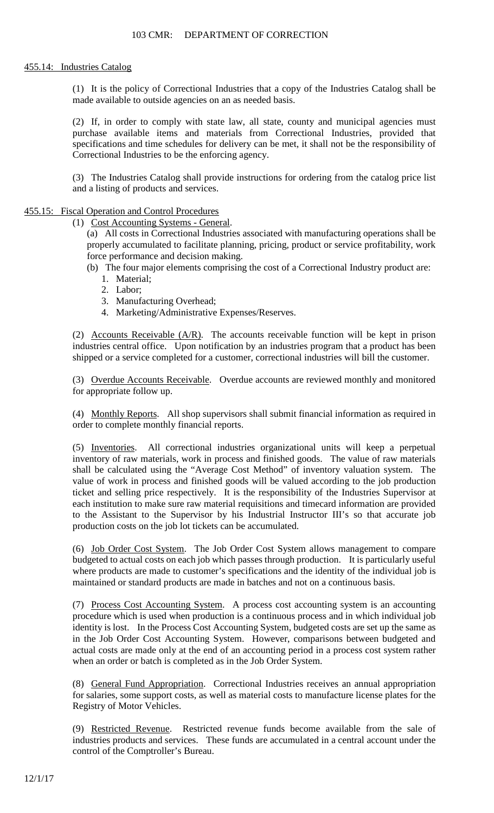## 455.14: Industries Catalog

(1) It is the policy of Correctional Industries that a copy of the Industries Catalog shall be made available to outside agencies on an as needed basis.

(2) If, in order to comply with state law, all state, county and municipal agencies must purchase available items and materials from Correctional Industries, provided that specifications and time schedules for delivery can be met, it shall not be the responsibility of Correctional Industries to be the enforcing agency.

(3) The Industries Catalog shall provide instructions for ordering from the catalog price list and a listing of products and services.

## 455.15: Fiscal Operation and Control Procedures

(1) Cost Accounting Systems - General.

(a) All costs in Correctional Industries associated with manufacturing operations shall be properly accumulated to facilitate planning, pricing, product or service profitability, work force performance and decision making.

- (b) The four major elements comprising the cost of a Correctional Industry product are:
	- 1. Material;
	- 2. Labor;
	- 3. Manufacturing Overhead;
	- 4. Marketing/Administrative Expenses/Reserves.

(2) Accounts Receivable  $(A/R)$ . The accounts receivable function will be kept in prison industries central office. Upon notification by an industries program that a product has been shipped or a service completed for a customer, correctional industries will bill the customer.

(3) Overdue Accounts Receivable. Overdue accounts are reviewed monthly and monitored for appropriate follow up.

(4) Monthly Reports. All shop supervisors shall submit financial information as required in order to complete monthly financial reports.

(5) Inventories. All correctional industries organizational units will keep a perpetual inventory of raw materials, work in process and finished goods. The value of raw materials shall be calculated using the "Average Cost Method" of inventory valuation system. The value of work in process and finished goods will be valued according to the job production ticket and selling price respectively. It is the responsibility of the Industries Supervisor at each institution to make sure raw material requisitions and timecard information are provided to the Assistant to the Supervisor by his Industrial Instructor III's so that accurate job production costs on the job lot tickets can be accumulated.

(6) Job Order Cost System. The Job Order Cost System allows management to compare budgeted to actual costs on each job which passes through production. It is particularly useful where products are made to customer's specifications and the identity of the individual job is maintained or standard products are made in batches and not on a continuous basis.

(7) Process Cost Accounting System. A process cost accounting system is an accounting procedure which is used when production is a continuous process and in which individual job identity is lost. In the Process Cost Accounting System, budgeted costs are set up the same as in the Job Order Cost Accounting System. However, comparisons between budgeted and actual costs are made only at the end of an accounting period in a process cost system rather when an order or batch is completed as in the Job Order System.

(8) General Fund Appropriation. Correctional Industries receives an annual appropriation for salaries, some support costs, as well as material costs to manufacture license plates for the Registry of Motor Vehicles.

(9) Restricted Revenue. Restricted revenue funds become available from the sale of industries products and services. These funds are accumulated in a central account under the control of the Comptroller's Bureau.